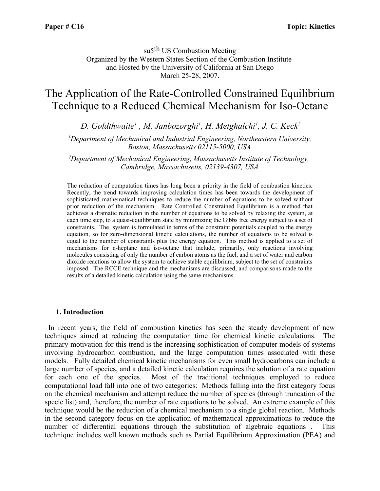su5th US Combustion Meeting Organized by the Western States Section of the Combustion Institute and Hosted by the University of California at San Diego March 25-28, 2007.

# The Application of the Rate-Controlled Constrained Equilibrium Technique to a Reduced Chemical Mechanism for Iso-Octane

*D. Goldthwaite<sup>1</sup> , M. Janbozorghi<sup>1</sup> , H. Metghalchi<sup>1</sup> , J. C. Keck<sup>2</sup>*

*<sup>1</sup>Department of Mechanical and Industrial Engineering, Northeastern University, Boston, Massachusetts 02115-5000, USA*

*<sup>2</sup>Department of Mechanical Engineering, Massachusetts Institute of Technology, Cambridge, Massachusetts, 02139-4307, USA*

The reduction of computation times has long been a priority in the field of combustion kinetics. Recently, the trend towards improving calculation times has been towards the development of sophisticated mathematical techniques to reduce the number of equations to be solved without prior reduction of the mechanism. Rate Controlled Constrained Equilibrium is a method that achieves a dramatic reduction in the number of equations to be solved by relaxing the system, at each time step, to a quasi-equilibrium state by minimizing the Gibbs free energy subject to a set of constraints. The system is formulated in terms of the constraint potentials coupled to the energy equation, so for zero-dimensional kinetic calculations, the number of equations to be solved is equal to the number of constraints plus the energy equation. This method is applied to a set of mechanisms for n-heptane and iso-octane that include, primarily, only reactions involving molecules consisting of only the number of carbon atoms as the fuel, and a set of water and carbon dioxide reactions to allow the system to achieve stable equilibrium, subject to the set of constraints imposed. The RCCE technique and the mechanisms are discussed, and comparisons made to the results of a detailed kinetic calculation using the same mechanisms.

#### **1. Introduction**

In recent years, the field of combustion kinetics has seen the steady development of new techniques aimed at reducing the computation time for chemical kinetic calculations. The primary motivation for this trend is the increasing sophistication of computer models of systems involving hydrocarbon combustion, and the large computation times associated with these models. Fully detailed chemical kinetic mechanisms for even small hydrocarbons can include a large number of species, and a detailed kinetic calculation requires the solution of a rate equation for each one of the species. Most of the traditional techniques employed to reduce computational load fall into one of two categories: Methods falling into the first category focus on the chemical mechanism and attempt reduce the number of species (through truncation of the specie list) and, therefore, the number of rate equations to be solved. An extreme example of this technique would be the reduction of a chemical mechanism to a single global reaction. Methods in the second category focus on the application of mathematical approximations to reduce the number of differential equations through the substitution of algebraic equations . This technique includes well known methods such as Partial Equilibrium Approximation (PEA) and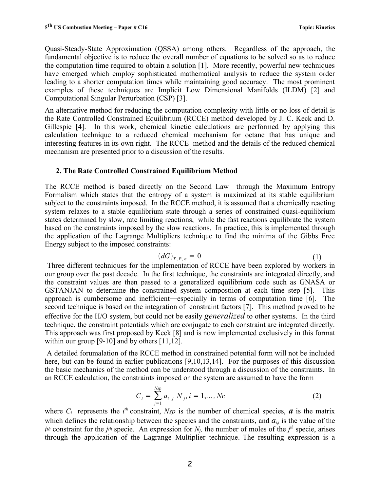Quasi-Steady-State Approximation (QSSA) among others. Regardless of the approach, the fundamental objective is to reduce the overall number of equations to be solved so as to reduce the computation time required to obtain a solution [1]. More recently, powerful new techniques have emerged which employ sophisticated mathematical analysis to reduce the system order leading to a shorter computation times while maintaining good accuracy. The most prominent examples of these techniques are Implicit Low Dimensional Manifolds (ILDM) [2] and Computational Singular Perturbation (CSP) [3].

An alternative method for reducing the computation complexity with little or no loss of detail is the Rate Controlled Constrained Equilibrium (RCCE) method developed by J. C. Keck and D. Gillespie [4]. In this work, chemical kinetic calculations are performed by applying this calculation technique to a reduced chemical mechanism for octane that has unique and interesting features in its own right. The RCCE method and the details of the reduced chemical mechanism are presented prior to a discussion of the results.

# **2. The Rate Controlled Constrained Equilibrium Method**

The RCCE method is based directly on the Second Law through the Maximum Entropy Formalism which states that the entropy of a system is maximized at its stable equilibrium subject to the constraints imposed. In the RCCE method, it is assumed that a chemically reacting system relaxes to a stable equilibrium state through a series of constrained quasi-equilibrium states determined by slow, rate limiting reactions, while the fast reactions equilibrate the system based on the constraints imposed by the slow reactions. In practice, this is implemented through the application of the Lagrange Multipliers technique to find the minima of the Gibbs Free Energy subject to the imposed constraints:

$$
(dG)_{T,P,n} = 0 \tag{1}
$$

Three different techniques for the implementation of RCCE have been explored by workers in our group over the past decade. In the first technique, the constraints are integrated directly, and the constraint values are then passed to a generalized equilibrium code such as GNASA or GSTANJAN to determine the constrained system compostiion at each time step [5]. This approach is cumbersome and inefficient―especially in terms of computation time [6]. The second technique is based on the integration of constraint factors [7]. This method proved to be effective for the H/O system, but could not be easily *generalized* to other systems. In the third technique, the constraint potentials which are conjugate to each constraint are integrated directly. This approach was first proposed by Keck [8] and is now implemented exclusively in this format within our group [9-10] and by others [11,12].

A detailed forumalation of the RCCE method in constrained potential form will not be included here, but can be found in earlier publications [9,10,13,14]. For the purposes of this discussion the basic mechanics of the method can be understood through a discussion of the constraints. In an RCCE calculation, the constraints imposed on the system are assumed to have the form

$$
C_i = \sum_{j=1}^{Nsp} a_{i,j} N_j, i = 1,..., Nc
$$
 (2)

where  $C_i$  represents the  $i^{th}$  constraint, *Nsp* is the number of chemical species,  $\boldsymbol{a}$  is the matrix which defines the relationship between the species and the constraints, and  $a_{i,j}$  is the value of the *i*<sup>*th*</sup> constraint for the *j*<sup>th</sup> specie. An expression for  $N_i$ , the number of moles of the *j*<sup>th</sup> specie, arises through the application of the Lagrange Multiplier technique. The resulting expression is a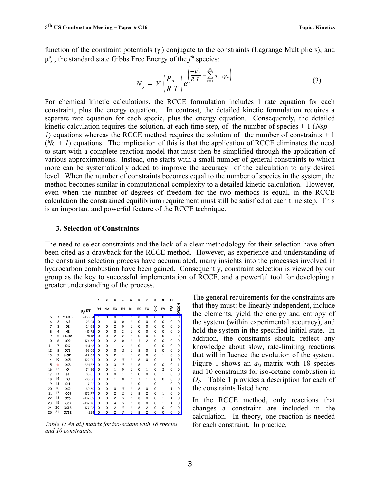function of the constraint potentials  $(\gamma_i)$  conjugate to the constraints (Lagrange Multipliers), and  $\mu^o_j$ , the standard state Gibbs Free Energy of the  $j<sup>th</sup>$  species:

$$
N_j = V \left(\frac{P_o}{RT}\right) e^{\left(\frac{\mu_j^o}{RT} - \sum_{n=1}^{N_c} a_{n,j} y_n\right)}
$$
(3)

For chemical kinetic calculations, the RCCE formulation includes 1 rate equation for each constraint, plus the energy equation. In contrast, the detailed kinetic formulation requires a separate rate equation for each specie, plus the energy equation. Consequently, the detailed kinetic calculation requires the solution, at each time step, of the number of species  $+1$  (*Nsp*  $+$ *1*) equations whereas the RCCE method requires the solution of the number of constraints + 1  $(Nc + 1)$  equations. The implication of this is that the application of RCCE eliminates the need to start with a complete reaction model that must then be simplified through the application of various approximations. Instead, one starts with a small number of general constraints to which more can be systematically added to improve the accuracy of the calculation to any desired level. When the number of constraints becomes equal to the number of species in the system, the method becomes similar in computational complexity to a detailed kinetic calculation. However, even when the number of degrees of freedom for the two methods is equal, in the RCCE calculation the constrained equilibrium requirement must still be satisfied at each time step. This is an important and powerful feature of the RCCE technique.

#### **3. Selection of Constraints**

The need to select constraints and the lack of a clear methodology for their selection have often been cited as a drawback for the RCCE method. However, as experience and understanding of the constraint selection process have accumulated, many insights into the processes involved in hydrocarbon combustion have been gained. Consequently, constraint selection is viewed by our group as the key to successful implementation of RCCE, and a powerful tool for developing a greater understanding of the process.

|    |                |                               |            | 1              | $\overline{2}$ | 3                       | 4                       | 5              | 6                       | 7                       | 8                       | 9              | 10             |                           |
|----|----------------|-------------------------------|------------|----------------|----------------|-------------------------|-------------------------|----------------|-------------------------|-------------------------|-------------------------|----------------|----------------|---------------------------|
|    |                |                               | $\mu_0/RT$ | <b>RH</b>      | N <sub>2</sub> | EO                      | EH                      | M              | EC                      | FO                      | უ<br>გ                  | FV             | 휻              | <b>DROOH</b>              |
| 5  | 1              | C8H18                         | $-135.54$  | $\overline{1}$ | $\overline{0}$ | $\overline{0}$          | 18                      | $\overline{1}$ | $\overline{\mathbf{8}}$ | $\overline{\mathbf{o}}$ | $\overline{\mathbf{o}}$ | $\overline{0}$ | $\overline{0}$ | $\overline{\mathfrak{o}}$ |
| 6  | $\overline{c}$ | N <sub>2</sub>                | $-23.04$   | $\Omega$       | 1              | 0                       | 0                       | 1              | 0                       | 0                       | 0                       | 0              | 0              | 0                         |
| 7  | 3              | О2                            | $-24.68$   | $\Omega$       | 0              | $\overline{c}$          | 0                       | 1              | 0                       | 0                       | 0                       | 0              | 0              | 0                         |
| 8  | 4              | H <sub>2</sub>                | $-15.72$   | $\Omega$       | 0              | 0                       | $\overline{\mathbf{c}}$ | 1              | 0                       | $\Omega$                | 0                       | 0              | 0              | 0                         |
| 9  | 5              | H <sub>2</sub> O <sub>2</sub> | $-79.61$   | $\Omega$       | 0              | $\overline{c}$          | $\overline{c}$          | 1              | 0                       | $\Omega$                | 0                       | 0              | 0              | 0                         |
| 10 | 6              | CO <sub>2</sub>               | $-174.55$  | $\Omega$       | 0              | $\overline{\mathbf{c}}$ | $\mathbf 0$             | 1              | $\mathbf{1}$            | $\overline{c}$          | 0                       | 0              | 0              | 0                         |
| 11 | 7              | <b>H2O</b>                    | $-114.18$  | $\Omega$       | 0              | 1                       | $\overline{c}$          | 1              | 0                       | $\mathbf{1}$            | 0                       | 0              | 0              | 0                         |
| 12 | 8              | OC3                           | $-93.05$   | $\Omega$       | 0              | 0                       | 16                      | 1              | 8                       | 0                       | 1                       | 0              | 0              | 0                         |
| 13 | 9              | HO <sub>2</sub>               | $-22.82$   | $\Omega$       | 0              | $\overline{c}$          | $\mathbf{1}$            | 1              | 0                       | 0                       | 0                       | 1              | 0              | 0                         |
| 14 | 10             | OC <sub>5</sub>               | $-122.09$  | $\Omega$       | 0              | $\overline{c}$          | 17                      | 1              | 8                       | $\Omega$                | 0                       | 1              | 1              | 0                         |
| 15 | 11             | OC8                           | $-221.87$  | $\Omega$       | 0              | 3                       | 16                      | 1              | 8                       | $\mathbf{1}$            | 0                       | O              | 0              | 1                         |
| 16 | 12             | ο                             | 74.86      | $\Omega$       | 0              | $\mathbf{1}$            | 0                       | 1              | 0                       | $\mathbf{1}$            | 0                       | $\overline{c}$ | 0              | 0                         |
| 17 | 13             | н                             | 68.65      | $\Omega$       | 0              | 0                       | $\mathbf{1}$            | 1              | 0                       | 0                       | 0                       | 1              | 0              | 0                         |
| 18 | 14             | co                            | $-65.58$   | $\Omega$       | 0              | $\mathbf{1}$            | 0                       | 1              | 1                       | $\mathbf{1}$            | 0                       | 0              | 0              | 0                         |
| 19 | 15             | OH                            | $-7.22$    | $\Omega$       | 0              | $\mathbf{1}$            | $\mathbf{1}$            | $\mathbf{1}$   | 0                       | $\mathbf{1}$            | 0                       | 1              | 0              | 0                         |
| 20 | 16             | OC <sub>2</sub>               | $-69.59$   | 0              | 0              | 0                       | 17                      | 1              | 8                       | 0                       | 0                       | 1              | $\mathbf{1}$   | 0                         |
| 21 | 17             | OC9                           | $-172.77$  | $\Omega$       | 0              | $\overline{c}$          | 15                      | 1              | 8                       | $\overline{c}$          | 0                       | 1              | 0              | 0                         |
| 22 | 18             | OC6                           | $-107.89$  | $\Omega$       | 0              | $\overline{c}$          | 17                      | 1              | 8                       | 0                       | 0                       | 1              | 1              | 0                         |
| 23 | 19             | OC7                           | $-162.76$  | $\Omega$       | 0              | 4                       | 17                      | $\mathbf{1}$   | 8                       | 0                       | 0                       | 1              | $\mathbf{1}$   | 0                         |
| 24 | 20             | OC13                          | $-177.28$  | $\Omega$       | 0              | $\overline{c}$          | 12                      | $\mathbf{1}$   | 8                       | $\overline{c}$          | 0                       | O              | 0              | 0                         |
| 25 | 21             | OC12                          | $-224$     | $\mathbf 0$    | 0              | $\overline{c}$          | 14                      | $\mathbf{1}$   | 8                       | $\overline{c}$          | O                       | $\mathbf 0$    | 0              | 0                         |

*Table 1: An ai,j matrix for iso-octane with 18 species and 10 constraints.*

The general requirements for the constraints are that they must: be linearly independent, include the elements, yield the energy and entropy of the system (within experimental accuracy), and hold the system in the specified initial state. In addition, the constraints should reflect any knowledge about slow, rate-limiting reactions that will influence the evolution of the system. Figure 1 shows an  $a_{i,j}$  matrix with 18 species and 10 constraints for iso-octane combustion in *O2*. Table 1 provides a description for each of the constraints listed here.

In the RCCE method, only reactions that changes a constraint are included in the calculation. In theory, one reaction is needed for each constraint. In practice,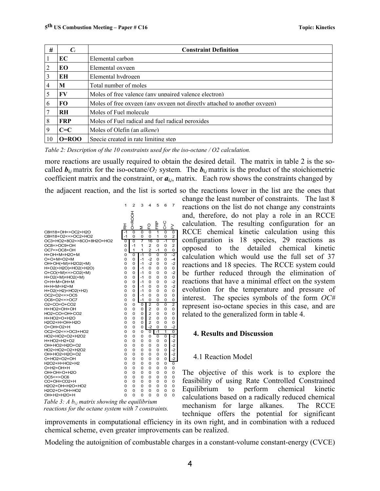| #  | $\mathcal{C}_{i}$ | <b>Constraint Definition</b>                                              |  |  |  |  |  |
|----|-------------------|---------------------------------------------------------------------------|--|--|--|--|--|
|    | EC                | Elemental carbon                                                          |  |  |  |  |  |
|    | EО                | Elemental oxygen                                                          |  |  |  |  |  |
| 3  | ЕH                | Elemental hydrogen                                                        |  |  |  |  |  |
| 4  | M                 | Total number of moles                                                     |  |  |  |  |  |
|    | FV                | Moles of free valence (any unpaired valence electron)                     |  |  |  |  |  |
| 6  | <b>FO</b>         | Moles of free oxygen (any oxygen not directly attached to another oxygen) |  |  |  |  |  |
|    | <b>RH</b>         | Moles of Fuel molecule                                                    |  |  |  |  |  |
| 8  | <b>FRP</b>        | Moles of Fuel radical and fuel radical peroxides                          |  |  |  |  |  |
| 9  | $C = C$           | Moles of Olefin (an <i>alkene</i> )                                       |  |  |  |  |  |
| 10 | $O=ROO$           | Specie created in rate limiting step.                                     |  |  |  |  |  |

*Table 2: Description of the 10 constraints used for the iso-octane / O2 calculation.*

more reactions are usually required to obtain the desired detail. The matrix in table 2 is the socalled  $\mathbf{b}_{i,j}$  matrix for the iso-octane/ $O_2$  system. The  $\mathbf{b}_{i,j}$  matrix is the product of the stoichiometric coefficient matrix and the constraint, or  $a_{i,j}$ , matrix. Each row shows the constraints changed by

the adjacent reaction, and the list is sorted so the reactions lower in the list are the ones that



*Table 3: A bi,j matrix showing the equilibrium reactions for the octane system with 7 constraints.*

change the least number of constraints. The last 8 reactions on the list do not change any constraints and, therefore, do not play a role in an RCCE calculation. The resulting configuration for an RCCE chemical kinetic calculation using this configuration is 18 species, 29 reactions as opposed to the detailed chemical kinetic calculation which would use the full set of 37 reactions and 18 species. The RCCE system could be further reduced through the elimination of reactions that have a minimal effect on the system evolution for the temperature and pressure of interest. The species symbols of the form *OC#* represent iso-octane species in this case, and are related to the generalized form in table 4.

#### **4. Results and Discussion**

#### 4.1 Reaction Model

The objective of this work is to explore the feasibility of using Rate Controlled Constrained Equilibrium to perform chemical kinetic calculations based on a radically reduced chemical mechanism for large alkanes. The RCCE technique offers the potential for significant

improvements in computational efficiency in its own right, and in combination with a reduced chemical scheme, even greater improvements can be realized.

Modeling the autoignition of combustable charges in a constant-volume constant-energy (CVCE)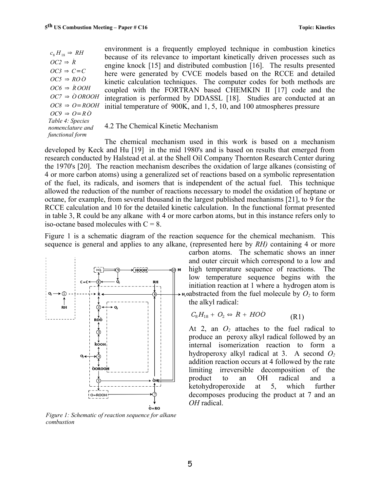*Table 4: Species nomenclature and functional form*  $c_8 H_{18} \Rightarrow RH$  $OC2 \Rightarrow R$  $OC3 \Rightarrow C = C$  $OC5 \Rightarrow ROO$  $OC6 \Rightarrow \dot{R} OOH$  $OC7 \Rightarrow \dot{O} OROOH$ *OC8* ⇒ *O*=*ROOH*  $OC9 \Rightarrow O = R \dot{O}$ 

environment is a frequently employed technique in combustion kinetics because of its relevance to important kinetically driven processes such as engine knock [15] and distributed combustion [16]. The results presented here were generated by CVCE models based on the RCCE and detailed kinetic calculation techniques. The computer codes for both methods are coupled with the FORTRAN based CHEMKIN II [17] code and the integration is performed by DDASSL [18]. Studies are conducted at an initial temperature of 900K, and 1, 5, 10, and 100 atmospheres pressure

#### 4.2 The Chemical Kinetic Mechanism

The chemical mechanism used in this work is based on a mechanism developed by Keck and Hu [19] in the mid 1980's and is based on results that emerged from research conducted by Halstead et al. at the Shell Oil Company Thornton Research Center during the 1970's [20]. The reaction mechanism describes the oxidation of large alkanes (consisting of 4 or more carbon atoms) using a generalized set of reactions based on a symbolic representation of the fuel, its radicals, and isomers that is independent of the actual fuel. This technique allowed the reduction of the number of reactions necessary to model the oxidation of heptane or octane, for example, from several thousand in the largest published mechanisms [21], to 9 for the RCCE calculation and 10 for the detailed kinetic calculation. In the functional format presented in table 3, R could be any alkane with 4 or more carbon atoms, but in this instance refers only to iso-octane based molecules with  $C = 8$ .

Figure 1 is a schematic diagram of the reaction sequence for the chemical mechanism. This sequence is general and applies to any alkane, (represented here by *RH)* containing 4 or more



*Figure 1: Schematic of reaction sequence for alkane combustion*

carbon atoms. The schematic shows an inner and outer circuit which correspond to a low and high temperature sequence of reactions. The low temperature sequence begins with the initiation reaction at 1 where a hydrogen atom is oabstracted from the fuel molecule by  $O_2$  to form the alkyl radical:

$$
C_8H_{18} + O_2 \Leftrightarrow R + HO\dot{O} \tag{R1}
$$

At 2, an  $O_2$  attaches to the fuel radical to produce an peroxy alkyl radical followed by an internal isomerization reaction to form a hydroperoxy alkyl radical at 3. A second *O<sup>2</sup>* addition reaction occurs at 4 followed by the rate limiting irreversible decomposition of the product to an OH radical and a ketohydroperoxide at 5, which further decomposes producing the product at 7 and an *OH* radical.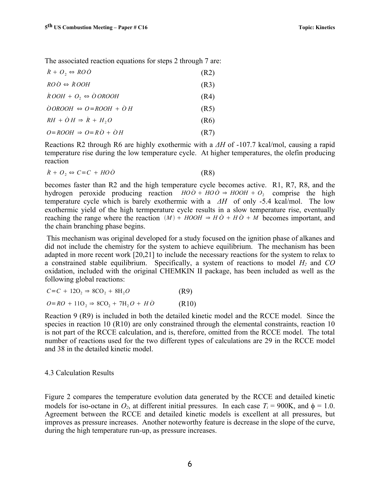The associated reaction equations for steps 2 through 7 are:

| $\dot{R} + O_2 \Leftrightarrow RO\dot{O}$         | (R2) |
|---------------------------------------------------|------|
| $ROO \Leftrightarrow \dot{ROOH}$                  | (R3) |
| $\dot{R} OOH + O_2 \Leftrightarrow \dot{O} OROOH$ | (R4) |
| $\dot{O}OROOH \Leftrightarrow O=ROOH + \dot{O}H$  | (R5) |
| $RH + \dot{O} H \Rightarrow \dot{R} + H, O$       | (R6) |
| $Q = ROOH \Rightarrow Q = R\dot{Q} + \dot{Q}H$    | (R7) |

Reactions R2 through R6 are highly exothermic with a *ΔH* of -107.7 kcal/mol, causing a rapid temperature rise during the low temperature cycle. At higher temperatures, the olefin producing reaction

$$
\dot{R} + O_2 \Leftrightarrow C = C + HO\dot{O} \tag{R8}
$$

becomes faster than R2 and the high temperature cycle becomes active. R1, R7, R8, and the hydrogen peroxide producing reaction  $HO\ddot{o} + HO\dot{o} \Rightarrow HOOH + O_2$  comprise the high temperature cycle which is barely exothermic with a *ΔH* of only -5.4 kcal/mol. The low exothermic yield of the high termperature cycle results in a slow temperature rise, eventually reaching the range where the reaction  $(M) + HOOH \Rightarrow H\dot{O} + H\dot{O} + M$  becomes important, and the chain branching phase begins.

This mechanism was original developed for a study focused on the ignition phase of alkanes and did not include the chemistry for the system to achieve equilibrium. The mechanism has been adapted in more recent work [20,21] to include the necessary reactions for the system to relax to a constrained stable equilibrium. Specifically, a system of reactions to model *H<sup>2</sup>* and *CO* oxidation, included with the original CHEMKIN II package, has been included as well as the following global reactions:

$$
C=C+12O_2 \Rightarrow 8CO_2 + 8H_2O \tag{R9}
$$

$$
O=RO + 11O_2 \Rightarrow 8CO_2 + 7H_2O + H\dot{O} \tag{R10}
$$

Reaction 9 (R9) is included in both the detailed kinetic model and the RCCE model. Since the species in reaction 10 (R10) are only constrained through the elemental constraints, reaction 10 is not part of the RCCE calculation, and is, therefore, omitted from the RCCE model. The total number of reactions used for the two different types of calculations are 29 in the RCCE model and 38 in the detailed kinetic model.

#### 4.3 Calculation Results

Figure 2 compares the temperature evolution data generated by the RCCE and detailed kinetic models for iso-octane in  $O_2$ , at different initial pressures. In each case  $T_i = 900$ K, and  $\phi = 1.0$ . Agreement between the RCCE and detailed kinetic models is excellent at all pressures, but improves as pressure increases. Another noteworthy feature is decrease in the slope of the curve, during the high temperature run-up, as pressure increases.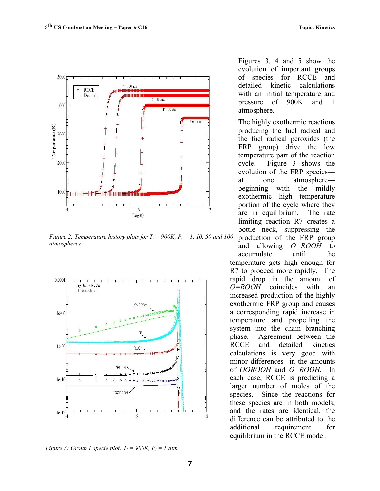

*Figure 2: Temperature history plots for*  $T_i = 900K$ *,*  $P_i = 1$ *, 10, 50 and 100 atmospheres*



*Figure 3: Group 1 specie plot:*  $T_i = 900K$ ,  $P_i = 1$  atm

Figures 3, 4 and 5 show the evolution of important groups of species for RCCE and detailed kinetic calculations with an initial temperature and pressure of 900K and 1 atmosphere.

The highly exothermic reactions producing the fuel radical and the fuel radical peroxides (the FRP group) drive the low temperature part of the reaction cycle. Figure 3 shows the evolution of the FRP species at one atmosphere― beginning with the mildly exothermic high temperature portion of the cycle where they are in equilibrium. The rate limiting reaction R7 creates a bottle neck, suppressing the production of the FRP group and allowing *O=ROOH* to accumulate until the temperature gets high enough for R7 to proceed more rapidly. The rapid drop in the amount of *O=ROOH* coincides with an increased production of the highly exothermic FRP group and causes a corresponding rapid increase in temperature and propelling the system into the chain branching phase. Agreement between the RCCE and detailed kinetics calculations is very good with minor differences in the amounts of *OOROOH* and *O=ROOH.* In each case, RCCE is predicting a larger number of moles of the species. Since the reactions for these species are in both models, and the rates are identical, the difference can be attributed to the additional requirement for equilibrium in the RCCE model.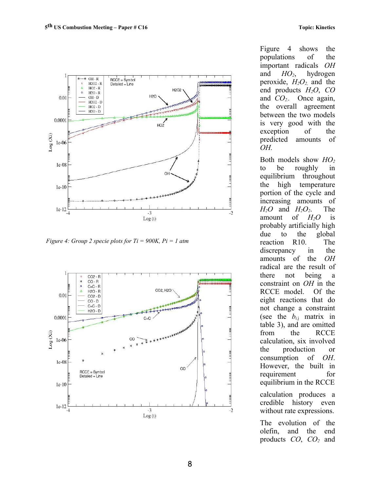

*Figure 4: Group 2 specie plots for Ti = 900K, Pi = 1 atm*



Figure 4 shows the populations of the important radicals *OH* and *HO2*, hydrogen peroxide,  $H_2O_2$  and the end products *H2O*, *CO* and *CO2..* Once again, the overall agreement between the two models is very good with the exception of the predicted amounts of *OH.* 

Both models show *HO<sup>2</sup>* to be roughly in equilibrium throughout the high temperature portion of the cycle and increasing amounts of  $H_2O$  and  $H_2O_2$ . The amount of  $H_2O$  is probably artificially high due to the global reaction R10. The discrepancy in the amounts of the *OH* radical are the result of there not being a constraint on *OH* in the RCCE model. Of the eight reactions that do not change a constraint (see the  $b_{i,j}$  matrix in table 3), and are omitted from the RCCE calculation, six involved the production or consumption of *OH*. However, the built in requirement for equilibrium in the RCCE calculation produces a credible history even without rate expressions.

The evolution of the olefin, and the end products *CO*, *CO<sup>2</sup>* and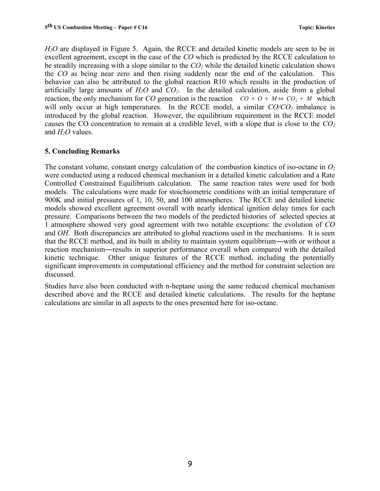*H2O* are displayed in Figure 5. Again, the RCCE and detailed kinetic models are seen to be in excellent agreement, except in the case of the *CO* which is predicted by the RCCE calculation to be steadily increasing with a slope similar to the *CO<sup>2</sup>* while the detailed kinetic calculation shows the *CO* as being near zero and then rising suddenly near the end of the calculation. This behavior can also be attributed to the global reaction R10 which results in the production of artificially large amounts of  $H_2O$  and  $CO_2$ . In the detailed calculation, aside from a global reaction, the only mechanism for *CO* generation is the reaction  $CO + O + M \Leftrightarrow CO_2 + M$  which will only occur at high temperatures. In the RCCE model, a similar  $CO/CO<sub>2</sub>$  imbalance is introduced by the global reaction. However, the equilibrium requirement in the RCCE model causes the CO concentration to remain at a credible level, with a slope that is close to the *CO<sup>2</sup>* and *H2O* values.

# **5. Concluding Remarks**

The constant volume, constant energy calculation of the combustion kinetics of iso-octane in *O<sup>2</sup>* were conducted using a reduced chemical mechanism in a detailed kinetic calculation and a Rate Controlled Constrained Equilibrium calculation. The same reaction rates were used for both models. The calculations were made for stoichiometric conditions with an initial temperature of 900K and initial pressures of 1, 10, 50, and 100 atmospheres. The RCCE and detailed kinetic models showed excellent agreement overall with nearly identical ignition delay times for each pressure. Comparisons between the two models of the predicted histories of selected species at 1 atmosphere showed very good agreement with two notable exceptions: the evolution of *CO* and *OH*. Both discrepancies are attributed to global reactions used in the mechanisms. It is seen that the RCCE method, and its built in ability to maintain system equilibrium―with or without a reaction mechanism―results in superior performance overall when compared with the detailed kinetic technique. Other unique features of the RCCE method, including the potentially significant improvements in computational efficiency and the method for constraint selection are discussed.

Studies have also been conducted with n-heptane using the same reduced chemical mechanism described above and the RCCE and detailed kinetic calculations. The results for the heptane calculations are similar in all aspects to the ones presented here for iso-octane.